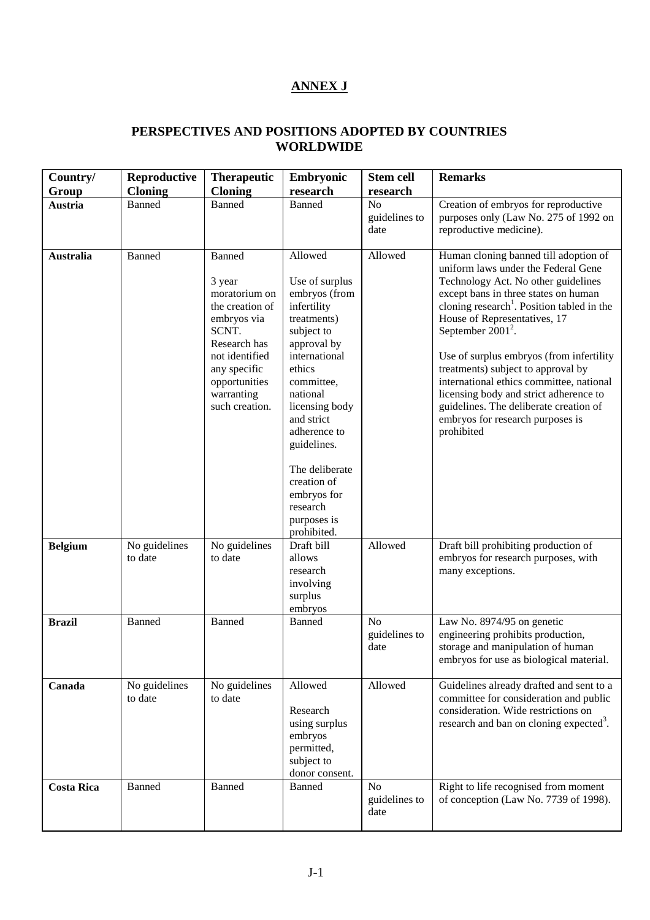## **ANNEX J**

## **PERSPECTIVES AND POSITIONS ADOPTED BY COUNTRIES WORLDWIDE**

| Country/<br>Group | Reproductive<br><b>Cloning</b> | <b>Therapeutic</b><br><b>Cloning</b>                                                                                                                                                   | Embryonic<br>research                                                                                                                                                                                                                                                                                               | <b>Stem cell</b><br>research            | <b>Remarks</b>                                                                                                                                                                                                                                                                                                                                                                                                                                                                                                                                    |
|-------------------|--------------------------------|----------------------------------------------------------------------------------------------------------------------------------------------------------------------------------------|---------------------------------------------------------------------------------------------------------------------------------------------------------------------------------------------------------------------------------------------------------------------------------------------------------------------|-----------------------------------------|---------------------------------------------------------------------------------------------------------------------------------------------------------------------------------------------------------------------------------------------------------------------------------------------------------------------------------------------------------------------------------------------------------------------------------------------------------------------------------------------------------------------------------------------------|
| Austria           | Banned                         | Banned                                                                                                                                                                                 | Banned                                                                                                                                                                                                                                                                                                              | No<br>guidelines to<br>date             | Creation of embryos for reproductive<br>purposes only (Law No. 275 of 1992 on<br>reproductive medicine).                                                                                                                                                                                                                                                                                                                                                                                                                                          |
| <b>Australia</b>  | <b>Banned</b>                  | <b>Banned</b><br>3 year<br>moratorium on<br>the creation of<br>embryos via<br>SCNT.<br>Research has<br>not identified<br>any specific<br>opportunities<br>warranting<br>such creation. | Allowed<br>Use of surplus<br>embryos (from<br>infertility<br>treatments)<br>subject to<br>approval by<br>international<br>ethics<br>committee,<br>national<br>licensing body<br>and strict<br>adherence to<br>guidelines.<br>The deliberate<br>creation of<br>embryos for<br>research<br>purposes is<br>prohibited. | Allowed                                 | Human cloning banned till adoption of<br>uniform laws under the Federal Gene<br>Technology Act. No other guidelines<br>except bans in three states on human<br>cloning research <sup>1</sup> . Position tabled in the<br>House of Representatives, 17<br>September $2001^2$ .<br>Use of surplus embryos (from infertility<br>treatments) subject to approval by<br>international ethics committee, national<br>licensing body and strict adherence to<br>guidelines. The deliberate creation of<br>embryos for research purposes is<br>prohibited |
| <b>Belgium</b>    | No guidelines<br>to date       | No guidelines<br>to date                                                                                                                                                               | Draft bill<br>allows<br>research<br>involving<br>surplus<br>embryos                                                                                                                                                                                                                                                 | Allowed                                 | Draft bill prohibiting production of<br>embryos for research purposes, with<br>many exceptions.                                                                                                                                                                                                                                                                                                                                                                                                                                                   |
| <b>Brazil</b>     | <b>Banned</b>                  | <b>Banned</b>                                                                                                                                                                          | <b>Banned</b>                                                                                                                                                                                                                                                                                                       | N <sub>o</sub><br>guidelines to<br>date | Law No. 8974/95 on genetic<br>engineering prohibits production,<br>storage and manipulation of human<br>embryos for use as biological material.                                                                                                                                                                                                                                                                                                                                                                                                   |
| Canada            | No guidelines<br>to date       | No guidelines<br>to date                                                                                                                                                               | Allowed<br>Research<br>using surplus<br>embryos<br>permitted,<br>subject to<br>donor consent.                                                                                                                                                                                                                       | Allowed                                 | Guidelines already drafted and sent to a<br>committee for consideration and public<br>consideration. Wide restrictions on<br>research and ban on cloning expected <sup>3</sup> .                                                                                                                                                                                                                                                                                                                                                                  |
| <b>Costa Rica</b> | <b>Banned</b>                  | <b>Banned</b>                                                                                                                                                                          | <b>Banned</b>                                                                                                                                                                                                                                                                                                       | N <sub>o</sub><br>guidelines to<br>date | Right to life recognised from moment<br>of conception (Law No. 7739 of 1998).                                                                                                                                                                                                                                                                                                                                                                                                                                                                     |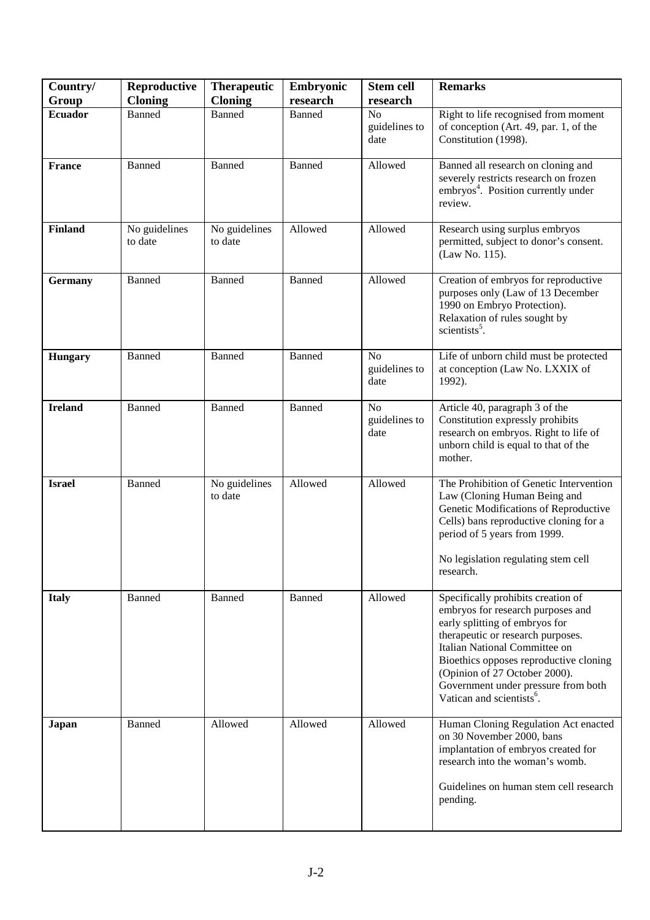| Country/       | Reproductive             | <b>Therapeutic</b>       | Embryonic     | <b>Stem cell</b>                        | <b>Remarks</b>                                                                                                                                                                                                                                                                                                                             |
|----------------|--------------------------|--------------------------|---------------|-----------------------------------------|--------------------------------------------------------------------------------------------------------------------------------------------------------------------------------------------------------------------------------------------------------------------------------------------------------------------------------------------|
| Group          | <b>Cloning</b>           | <b>Cloning</b>           | research      | research                                |                                                                                                                                                                                                                                                                                                                                            |
| <b>Ecuador</b> | Banned                   | Banned                   | <b>Banned</b> | N <sub>o</sub><br>guidelines to<br>date | Right to life recognised from moment<br>of conception (Art. 49, par. 1, of the<br>Constitution (1998).                                                                                                                                                                                                                                     |
| <b>France</b>  | <b>Banned</b>            | <b>Banned</b>            | Banned        | Allowed                                 | Banned all research on cloning and<br>severely restricts research on frozen<br>embryos <sup>4</sup> . Position currently under<br>review.                                                                                                                                                                                                  |
| <b>Finland</b> | No guidelines<br>to date | No guidelines<br>to date | Allowed       | Allowed                                 | Research using surplus embryos<br>permitted, subject to donor's consent.<br>(Law No. 115).                                                                                                                                                                                                                                                 |
| <b>Germany</b> | <b>Banned</b>            | <b>Banned</b>            | <b>Banned</b> | Allowed                                 | Creation of embryos for reproductive<br>purposes only (Law of 13 December<br>1990 on Embryo Protection).<br>Relaxation of rules sought by<br>scientists <sup>5</sup> .                                                                                                                                                                     |
| <b>Hungary</b> | <b>Banned</b>            | Banned                   | Banned        | N <sub>o</sub><br>guidelines to<br>date | Life of unborn child must be protected<br>at conception (Law No. LXXIX of<br>1992).                                                                                                                                                                                                                                                        |
| <b>Ireland</b> | <b>Banned</b>            | Banned                   | <b>Banned</b> | N <sub>o</sub><br>guidelines to<br>date | Article 40, paragraph 3 of the<br>Constitution expressly prohibits<br>research on embryos. Right to life of<br>unborn child is equal to that of the<br>mother.                                                                                                                                                                             |
| <b>Israel</b>  | <b>Banned</b>            | No guidelines<br>to date | Allowed       | Allowed                                 | The Prohibition of Genetic Intervention<br>Law (Cloning Human Being and<br>Genetic Modifications of Reproductive<br>Cells) bans reproductive cloning for a<br>period of 5 years from 1999.<br>No legislation regulating stem cell<br>research.                                                                                             |
| <b>Italy</b>   | Banned                   | Banned                   | <b>Banned</b> | Allowed                                 | Specifically prohibits creation of<br>embryos for research purposes and<br>early splitting of embryos for<br>therapeutic or research purposes.<br>Italian National Committee on<br>Bioethics opposes reproductive cloning<br>(Opinion of 27 October 2000).<br>Government under pressure from both<br>Vatican and scientists <sup>6</sup> . |
| Japan          | Banned                   | Allowed                  | Allowed       | Allowed                                 | Human Cloning Regulation Act enacted<br>on 30 November 2000, bans<br>implantation of embryos created for<br>research into the woman's womb.<br>Guidelines on human stem cell research<br>pending.                                                                                                                                          |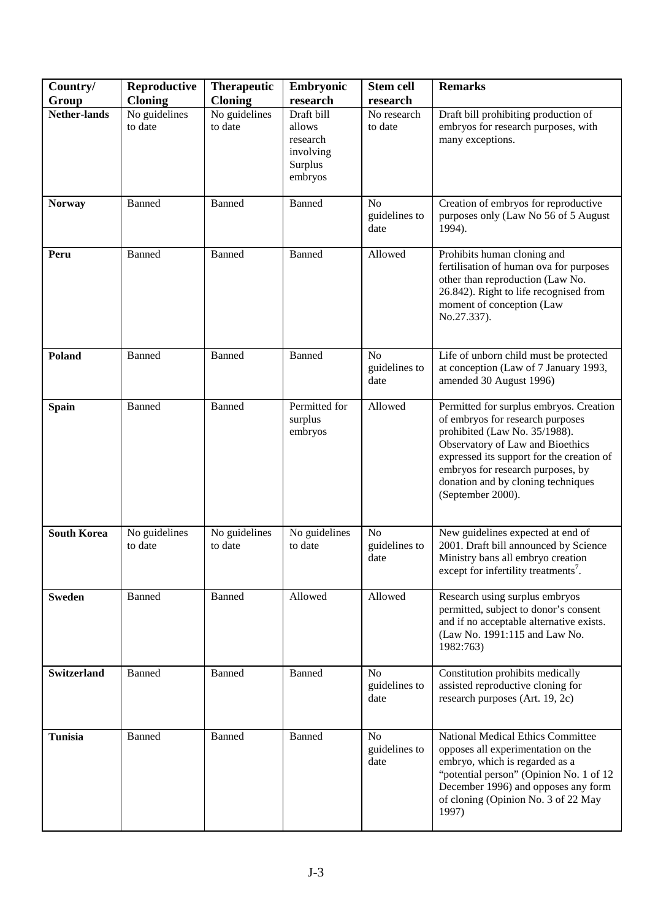| Country/            | Reproductive             | <b>Therapeutic</b>       | Embryonic                                                           | <b>Stem cell</b>                        | <b>Remarks</b>                                                                                                                                                                                                                                                                                |
|---------------------|--------------------------|--------------------------|---------------------------------------------------------------------|-----------------------------------------|-----------------------------------------------------------------------------------------------------------------------------------------------------------------------------------------------------------------------------------------------------------------------------------------------|
| Group               | <b>Cloning</b>           | <b>Cloning</b>           | research                                                            | research                                |                                                                                                                                                                                                                                                                                               |
| <b>Nether-lands</b> | No guidelines<br>to date | No guidelines<br>to date | Draft bill<br>allows<br>research<br>involving<br>Surplus<br>embryos | No research<br>to date                  | Draft bill prohibiting production of<br>embryos for research purposes, with<br>many exceptions.                                                                                                                                                                                               |
| <b>Norway</b>       | Banned                   | <b>Banned</b>            | <b>Banned</b>                                                       | No<br>guidelines to<br>date             | Creation of embryos for reproductive<br>purposes only (Law No 56 of 5 August<br>1994).                                                                                                                                                                                                        |
| Peru                | <b>Banned</b>            | <b>Banned</b>            | Banned                                                              | Allowed                                 | Prohibits human cloning and<br>fertilisation of human ova for purposes<br>other than reproduction (Law No.<br>26.842). Right to life recognised from<br>moment of conception (Law<br>No.27.337).                                                                                              |
| Poland              | <b>Banned</b>            | Banned                   | Banned                                                              | N <sub>o</sub><br>guidelines to<br>date | Life of unborn child must be protected<br>at conception (Law of 7 January 1993,<br>amended 30 August 1996)                                                                                                                                                                                    |
| <b>Spain</b>        | Banned                   | <b>Banned</b>            | Permitted for<br>surplus<br>embryos                                 | Allowed                                 | Permitted for surplus embryos. Creation<br>of embryos for research purposes<br>prohibited (Law No. 35/1988).<br>Observatory of Law and Bioethics<br>expressed its support for the creation of<br>embryos for research purposes, by<br>donation and by cloning techniques<br>(September 2000). |
| <b>South Korea</b>  | No guidelines<br>to date | No guidelines<br>to date | No guidelines<br>to date                                            | N <sub>o</sub><br>guidelines to<br>date | New guidelines expected at end of<br>2001. Draft bill announced by Science<br>Ministry bans all embryo creation<br>except for infertility treatments <sup>7</sup> .                                                                                                                           |
| <b>Sweden</b>       | Banned                   | Banned                   | Allowed                                                             | Allowed                                 | Research using surplus embryos<br>permitted, subject to donor's consent<br>and if no acceptable alternative exists.<br>(Law No. 1991:115 and Law No.<br>1982:763)                                                                                                                             |
| Switzerland         | <b>Banned</b>            | Banned                   | <b>Banned</b>                                                       | N <sub>o</sub><br>guidelines to<br>date | Constitution prohibits medically<br>assisted reproductive cloning for<br>research purposes (Art. 19, 2c)                                                                                                                                                                                      |
| <b>Tunisia</b>      | <b>Banned</b>            | Banned                   | Banned                                                              | N <sub>o</sub><br>guidelines to<br>date | National Medical Ethics Committee<br>opposes all experimentation on the<br>embryo, which is regarded as a<br>"potential person" (Opinion No. 1 of 12<br>December 1996) and opposes any form<br>of cloning (Opinion No. 3 of 22 May<br>1997)                                                   |